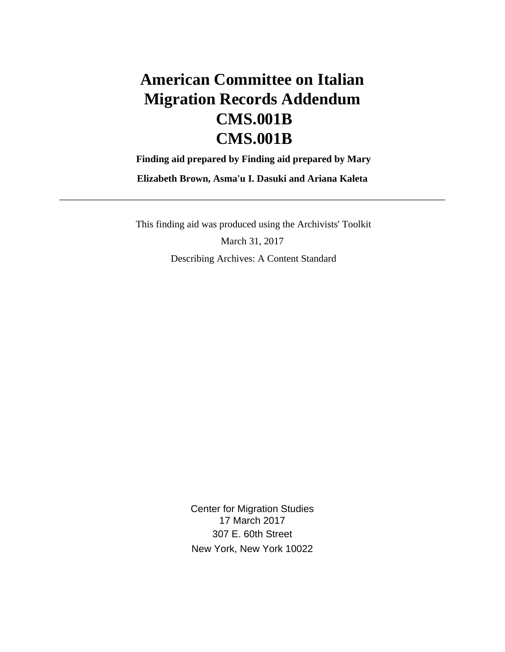# **American Committee on Italian Migration Records Addendum CMS.001B CMS.001B**

 **Finding aid prepared by Finding aid prepared by Mary**

**Elizabeth Brown, Asma'u I. Dasuki and Ariana Kaleta**

 This finding aid was produced using the Archivists' Toolkit March 31, 2017 Describing Archives: A Content Standard

> Center for Migration Studies 17 March 2017 307 E. 60th Street New York, New York 10022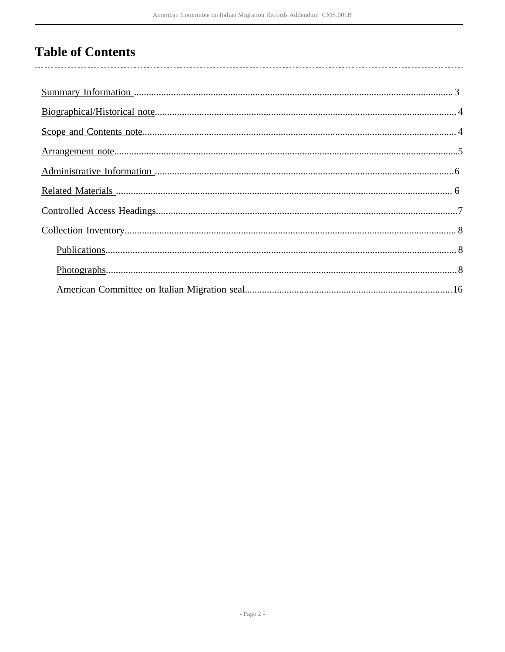# **Table of Contents**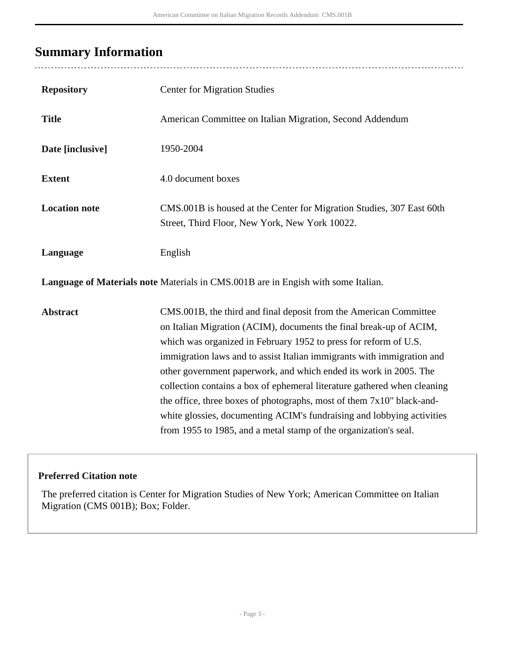# <span id="page-2-0"></span>**Summary Information**

 $\overline{a}$ 

| <b>Repository</b>    | <b>Center for Migration Studies</b>                                                                                                                                                                                                                                                                                                                                                                                                                                                                                                                                                                                                                           |
|----------------------|---------------------------------------------------------------------------------------------------------------------------------------------------------------------------------------------------------------------------------------------------------------------------------------------------------------------------------------------------------------------------------------------------------------------------------------------------------------------------------------------------------------------------------------------------------------------------------------------------------------------------------------------------------------|
| <b>Title</b>         | American Committee on Italian Migration, Second Addendum                                                                                                                                                                                                                                                                                                                                                                                                                                                                                                                                                                                                      |
| Date [inclusive]     | 1950-2004                                                                                                                                                                                                                                                                                                                                                                                                                                                                                                                                                                                                                                                     |
| <b>Extent</b>        | 4.0 document boxes                                                                                                                                                                                                                                                                                                                                                                                                                                                                                                                                                                                                                                            |
| <b>Location note</b> | CMS.001B is housed at the Center for Migration Studies, 307 East 60th<br>Street, Third Floor, New York, New York 10022.                                                                                                                                                                                                                                                                                                                                                                                                                                                                                                                                       |
| Language             | English                                                                                                                                                                                                                                                                                                                                                                                                                                                                                                                                                                                                                                                       |
|                      | Language of Materials note Materials in CMS.001B are in Engish with some Italian.                                                                                                                                                                                                                                                                                                                                                                                                                                                                                                                                                                             |
| <b>Abstract</b>      | CMS.001B, the third and final deposit from the American Committee<br>on Italian Migration (ACIM), documents the final break-up of ACIM,<br>which was organized in February 1952 to press for reform of U.S.<br>immigration laws and to assist Italian immigrants with immigration and<br>other government paperwork, and which ended its work in 2005. The<br>collection contains a box of ephemeral literature gathered when cleaning<br>the office, three boxes of photographs, most of them 7x10" black-and-<br>white glossies, documenting ACIM's fundraising and lobbying activities<br>from 1955 to 1985, and a metal stamp of the organization's seal. |

### **Preferred Citation note**

The preferred citation is Center for Migration Studies of New York; American Committee on Italian Migration (CMS 001B); Box; Folder.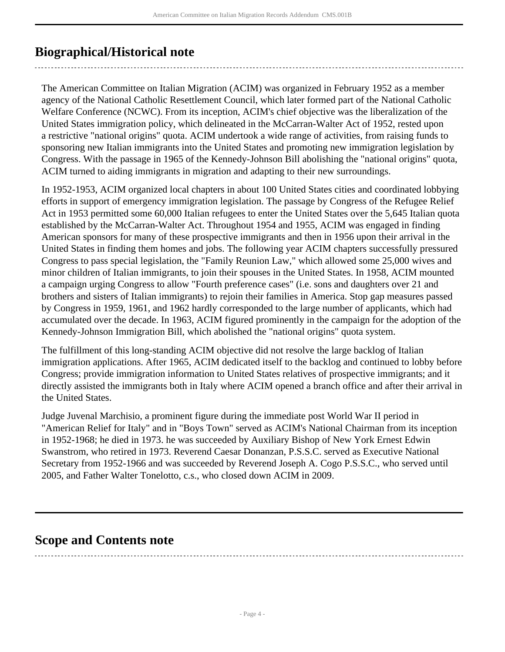# <span id="page-3-0"></span>**Biographical/Historical note**

The American Committee on Italian Migration (ACIM) was organized in February 1952 as a member agency of the National Catholic Resettlement Council, which later formed part of the National Catholic Welfare Conference (NCWC). From its inception, ACIM's chief objective was the liberalization of the United States immigration policy, which delineated in the McCarran-Walter Act of 1952, rested upon a restrictive "national origins" quota. ACIM undertook a wide range of activities, from raising funds to sponsoring new Italian immigrants into the United States and promoting new immigration legislation by Congress. With the passage in 1965 of the Kennedy-Johnson Bill abolishing the "national origins" quota, ACIM turned to aiding immigrants in migration and adapting to their new surroundings.

In 1952-1953, ACIM organized local chapters in about 100 United States cities and coordinated lobbying efforts in support of emergency immigration legislation. The passage by Congress of the Refugee Relief Act in 1953 permitted some 60,000 Italian refugees to enter the United States over the 5,645 Italian quota established by the McCarran-Walter Act. Throughout 1954 and 1955, ACIM was engaged in finding American sponsors for many of these prospective immigrants and then in 1956 upon their arrival in the United States in finding them homes and jobs. The following year ACIM chapters successfully pressured Congress to pass special legislation, the "Family Reunion Law," which allowed some 25,000 wives and minor children of Italian immigrants, to join their spouses in the United States. In 1958, ACIM mounted a campaign urging Congress to allow "Fourth preference cases" (i.e. sons and daughters over 21 and brothers and sisters of Italian immigrants) to rejoin their families in America. Stop gap measures passed by Congress in 1959, 1961, and 1962 hardly corresponded to the large number of applicants, which had accumulated over the decade. In 1963, ACIM figured prominently in the campaign for the adoption of the Kennedy-Johnson Immigration Bill, which abolished the "national origins" quota system.

The fulfillment of this long-standing ACIM objective did not resolve the large backlog of Italian immigration applications. After 1965, ACIM dedicated itself to the backlog and continued to lobby before Congress; provide immigration information to United States relatives of prospective immigrants; and it directly assisted the immigrants both in Italy where ACIM opened a branch office and after their arrival in the United States.

Judge Juvenal Marchisio, a prominent figure during the immediate post World War II period in "American Relief for Italy" and in "Boys Town" served as ACIM's National Chairman from its inception in 1952-1968; he died in 1973. he was succeeded by Auxiliary Bishop of New York Ernest Edwin Swanstrom, who retired in 1973. Reverend Caesar Donanzan, P.S.S.C. served as Executive National Secretary from 1952-1966 and was succeeded by Reverend Joseph A. Cogo P.S.S.C., who served until 2005, and Father Walter Tonelotto, c.s., who closed down ACIM in 2009.

## <span id="page-3-1"></span>**Scope and Contents note**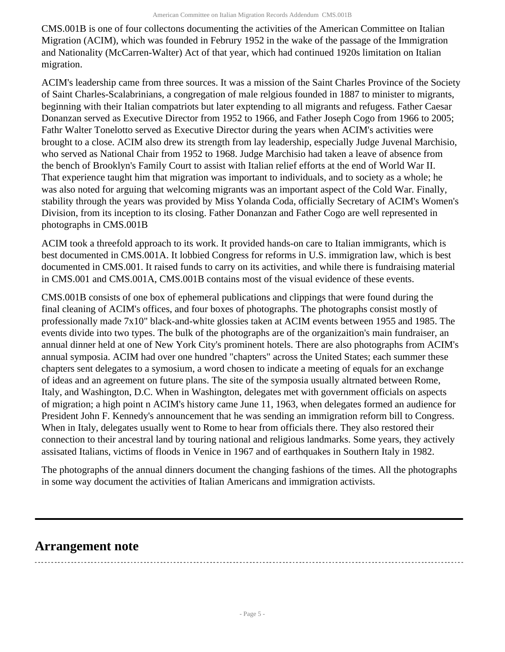CMS.001B is one of four collectons documenting the activities of the American Committee on Italian Migration (ACIM), which was founded in Februry 1952 in the wake of the passage of the Immigration and Nationality (McCarren-Walter) Act of that year, which had continued 1920s limitation on Italian migration.

ACIM's leadership came from three sources. It was a mission of the Saint Charles Province of the Society of Saint Charles-Scalabrinians, a congregation of male relgious founded in 1887 to minister to migrants, beginning with their Italian compatriots but later exptending to all migrants and refugess. Father Caesar Donanzan served as Executive Director from 1952 to 1966, and Father Joseph Cogo from 1966 to 2005; Fathr Walter Tonelotto served as Executive Director during the years when ACIM's activities were brought to a close. ACIM also drew its strength from lay leadership, especially Judge Juvenal Marchisio, who served as National Chair from 1952 to 1968. Judge Marchisio had taken a leave of absence from the bench of Brooklyn's Family Court to assist with Italian relief efforts at the end of World War II. That experience taught him that migration was important to individuals, and to society as a whole; he was also noted for arguing that welcoming migrants was an important aspect of the Cold War. Finally, stability through the years was provided by Miss Yolanda Coda, officially Secretary of ACIM's Women's Division, from its inception to its closing. Father Donanzan and Father Cogo are well represented in photographs in CMS.001B

ACIM took a threefold approach to its work. It provided hands-on care to Italian immigrants, which is best documented in CMS.001A. It lobbied Congress for reforms in U.S. immigration law, which is best documented in CMS.001. It raised funds to carry on its activities, and while there is fundraising material in CMS.001 and CMS.001A, CMS.001B contains most of the visual evidence of these events.

CMS.001B consists of one box of ephemeral publications and clippings that were found during the final cleaning of ACIM's offices, and four boxes of photographs. The photographs consist mostly of professionally made 7x10" black-and-white glossies taken at ACIM events between 1955 and 1985. The events divide into two types. The bulk of the photographs are of the organizaition's main fundraiser, an annual dinner held at one of New York City's prominent hotels. There are also photographs from ACIM's annual symposia. ACIM had over one hundred "chapters" across the United States; each summer these chapters sent delegates to a symosium, a word chosen to indicate a meeting of equals for an exchange of ideas and an agreement on future plans. The site of the symposia usually altrnated between Rome, Italy, and Washington, D.C. When in Washington, delegates met with government officials on aspects of migration; a high point n ACIM's history came June 11, 1963, when delegates formed an audience for President John F. Kennedy's announcement that he was sending an immigration reform bill to Congress. When in Italy, delegates usually went to Rome to hear from officials there. They also restored their connection to their ancestral land by touring national and religious landmarks. Some years, they actively assisated Italians, victims of floods in Venice in 1967 and of earthquakes in Southern Italy in 1982.

The photographs of the annual dinners document the changing fashions of the times. All the photographs in some way document the activities of Italian Americans and immigration activists.

## <span id="page-4-0"></span>**Arrangement note**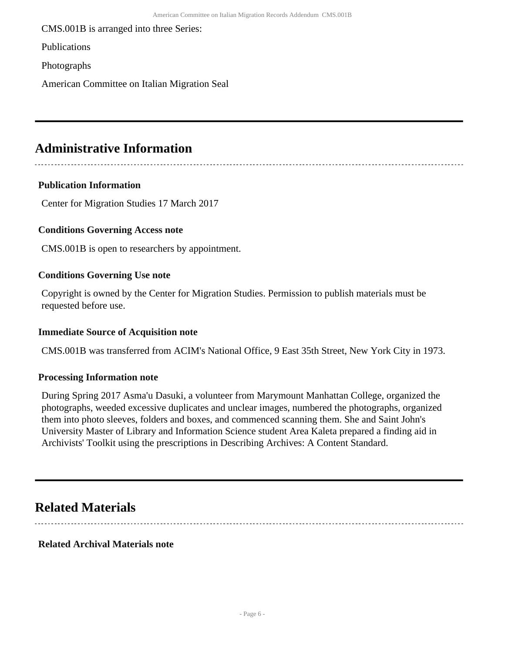CMS.001B is arranged into three Series:

Publications

Photographs

American Committee on Italian Migration Seal

# <span id="page-5-0"></span>**Administrative Information**

### **Publication Information**

Center for Migration Studies 17 March 2017

#### **Conditions Governing Access note**

CMS.001B is open to researchers by appointment.

#### **Conditions Governing Use note**

Copyright is owned by the Center for Migration Studies. Permission to publish materials must be requested before use.

#### **Immediate Source of Acquisition note**

CMS.001B was transferred from ACIM's National Office, 9 East 35th Street, New York City in 1973.

#### **Processing Information note**

During Spring 2017 Asma'u Dasuki, a volunteer from Marymount Manhattan College, organized the photographs, weeded excessive duplicates and unclear images, numbered the photographs, organized them into photo sleeves, folders and boxes, and commenced scanning them. She and Saint John's University Master of Library and Information Science student Area Kaleta prepared a finding aid in Archivists' Toolkit using the prescriptions in Describing Archives: A Content Standard.

## <span id="page-5-1"></span>**Related Materials**

#### **Related Archival Materials note**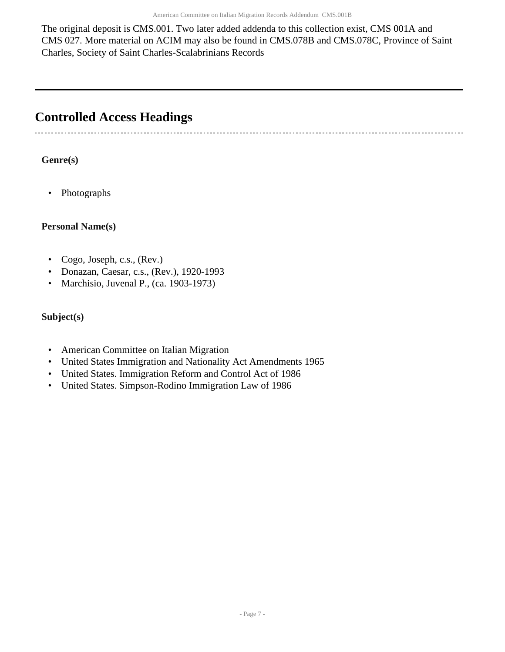The original deposit is CMS.001. Two later added addenda to this collection exist, CMS 001A and CMS 027. More material on ACIM may also be found in CMS.078B and CMS.078C, Province of Saint Charles, Society of Saint Charles-Scalabrinians Records

## <span id="page-6-0"></span>**Controlled Access Headings**

### **Genre(s)**

• Photographs

### **Personal Name(s)**

- Cogo, Joseph, c.s., (Rev.)
- Donazan, Caesar, c.s., (Rev.), 1920-1993
- Marchisio, Juvenal P., (ca. 1903-1973)

### **Subject(s)**

- American Committee on Italian Migration
- United States Immigration and Nationality Act Amendments 1965
- United States. Immigration Reform and Control Act of 1986
- United States. Simpson-Rodino Immigration Law of 1986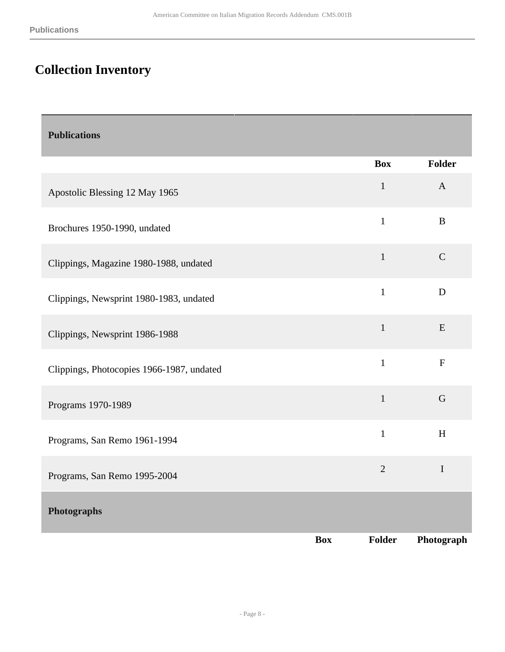# <span id="page-7-0"></span>**Collection Inventory**

<span id="page-7-2"></span><span id="page-7-1"></span>

| <b>Publications</b>                       |            |                |                           |
|-------------------------------------------|------------|----------------|---------------------------|
|                                           |            | <b>Box</b>     | Folder                    |
| Apostolic Blessing 12 May 1965            |            | $\mathbf{1}$   | $\mathbf{A}$              |
| Brochures 1950-1990, undated              |            | $\mathbf{1}$   | $\mathbf{B}$              |
| Clippings, Magazine 1980-1988, undated    |            | $\mathbf{1}$   | $\mathsf{C}$              |
| Clippings, Newsprint 1980-1983, undated   |            | $\mathbf{1}$   | ${\bf D}$                 |
| Clippings, Newsprint 1986-1988            |            | $\mathbf{1}$   | ${\bf E}$                 |
| Clippings, Photocopies 1966-1987, undated |            | $\mathbf{1}$   | ${\bf F}$                 |
| Programs 1970-1989                        |            | $\mathbf{1}$   | $\mathbf G$               |
| Programs, San Remo 1961-1994              |            | $\mathbf{1}$   | $\boldsymbol{\mathrm{H}}$ |
| Programs, San Remo 1995-2004              |            | $\overline{2}$ | $\mathbf I$               |
| <b>Photographs</b>                        |            |                |                           |
|                                           | <b>Box</b> | <b>Folder</b>  | Photograph                |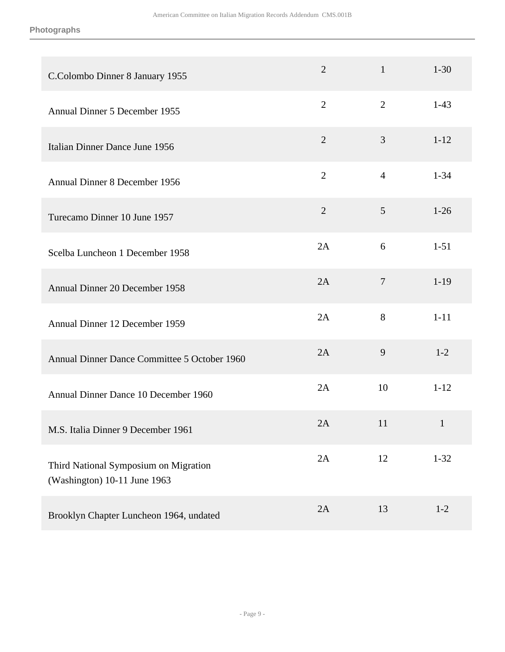**Photographs**

| C.Colombo Dinner 8 January 1955                                       | $\overline{2}$ | $\mathbf{1}$   | $1 - 30$     |
|-----------------------------------------------------------------------|----------------|----------------|--------------|
| Annual Dinner 5 December 1955                                         | $\overline{2}$ | $\overline{2}$ | $1-43$       |
| Italian Dinner Dance June 1956                                        | $\overline{2}$ | $\overline{3}$ | $1 - 12$     |
| Annual Dinner 8 December 1956                                         | $\overline{2}$ | $\overline{4}$ | $1 - 34$     |
| Turecamo Dinner 10 June 1957                                          | $\overline{2}$ | 5              | $1 - 26$     |
| Scelba Luncheon 1 December 1958                                       | 2A             | 6              | $1 - 51$     |
| Annual Dinner 20 December 1958                                        | 2A             | $\overline{7}$ | $1-19$       |
| Annual Dinner 12 December 1959                                        | 2A             | 8              | $1 - 11$     |
| Annual Dinner Dance Committee 5 October 1960                          | 2A             | 9              | $1 - 2$      |
| Annual Dinner Dance 10 December 1960                                  | 2A             | 10             | $1 - 12$     |
| M.S. Italia Dinner 9 December 1961                                    | 2A             | 11             | $\mathbf{1}$ |
| Third National Symposium on Migration<br>(Washington) 10-11 June 1963 | 2A             | 12             | $1 - 32$     |
| Brooklyn Chapter Luncheon 1964, undated                               | 2A             | 13             | $1 - 2$      |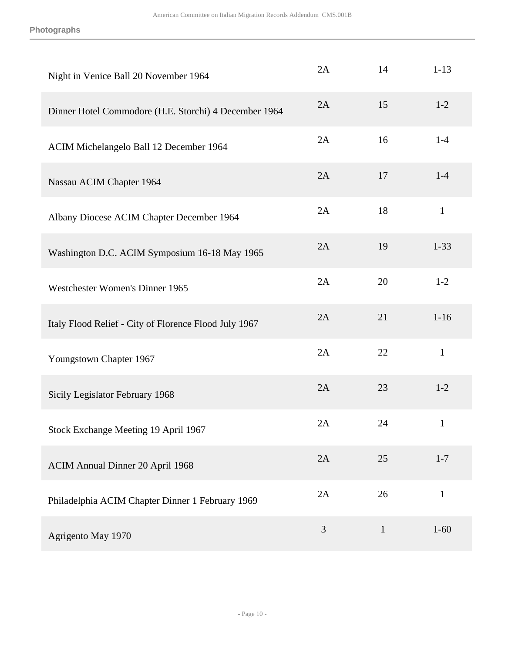| Night in Venice Ball 20 November 1964                 | 2A | 14           | $1 - 13$     |
|-------------------------------------------------------|----|--------------|--------------|
| Dinner Hotel Commodore (H.E. Storchi) 4 December 1964 | 2A | 15           | $1 - 2$      |
| ACIM Michelangelo Ball 12 December 1964               | 2A | 16           | $1-4$        |
| Nassau ACIM Chapter 1964                              | 2A | 17           | $1-4$        |
| Albany Diocese ACIM Chapter December 1964             | 2A | 18           | $\mathbf{1}$ |
| Washington D.C. ACIM Symposium 16-18 May 1965         | 2A | 19           | $1 - 33$     |
| Westchester Women's Dinner 1965                       | 2A | 20           | $1-2$        |
| Italy Flood Relief - City of Florence Flood July 1967 | 2A | 21           | $1 - 16$     |
| Youngstown Chapter 1967                               | 2A | 22           | $\mathbf{1}$ |
| Sicily Legislator February 1968                       | 2A | 23           | $1-2$        |
| Stock Exchange Meeting 19 April 1967                  | 2A | 24           | $\mathbf{1}$ |
| <b>ACIM Annual Dinner 20 April 1968</b>               | 2A | 25           | $1 - 7$      |
| Philadelphia ACIM Chapter Dinner 1 February 1969      | 2A | 26           | $\mathbf{1}$ |
| Agrigento May 1970                                    | 3  | $\mathbf{1}$ | $1 - 60$     |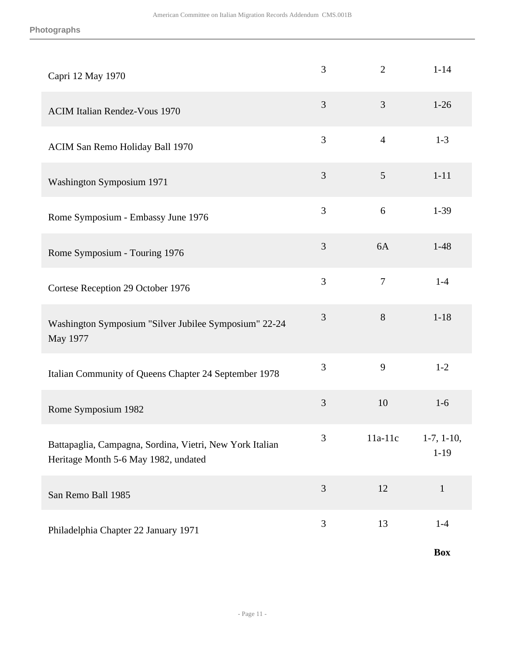| Capri 12 May 1970                                                                                | 3 | 2              | $1 - 14$               |
|--------------------------------------------------------------------------------------------------|---|----------------|------------------------|
| <b>ACIM Italian Rendez-Vous 1970</b>                                                             | 3 | 3              | $1-26$                 |
| ACIM San Remo Holiday Ball 1970                                                                  | 3 | $\overline{4}$ | $1-3$                  |
| Washington Symposium 1971                                                                        | 3 | 5              | $1 - 11$               |
| Rome Symposium - Embassy June 1976                                                               | 3 | 6              | $1-39$                 |
| Rome Symposium - Touring 1976                                                                    | 3 | 6A             | $1-48$                 |
| Cortese Reception 29 October 1976                                                                | 3 | $\overline{7}$ | $1-4$                  |
| Washington Symposium "Silver Jubilee Symposium" 22-24<br>May 1977                                | 3 | 8              | $1 - 18$               |
| Italian Community of Queens Chapter 24 September 1978                                            | 3 | 9              | $1 - 2$                |
| Rome Symposium 1982                                                                              | 3 | 10             | $1-6$                  |
| Battapaglia, Campagna, Sordina, Vietri, New York Italian<br>Heritage Month 5-6 May 1982, undated | 3 | $11a-11c$      | $1-7, 1-10,$<br>$1-19$ |
| San Remo Ball 1985                                                                               | 3 | 12             | $\mathbf{1}$           |
| Philadelphia Chapter 22 January 1971                                                             | 3 | 13             | $1 - 4$                |
|                                                                                                  |   |                | <b>Box</b>             |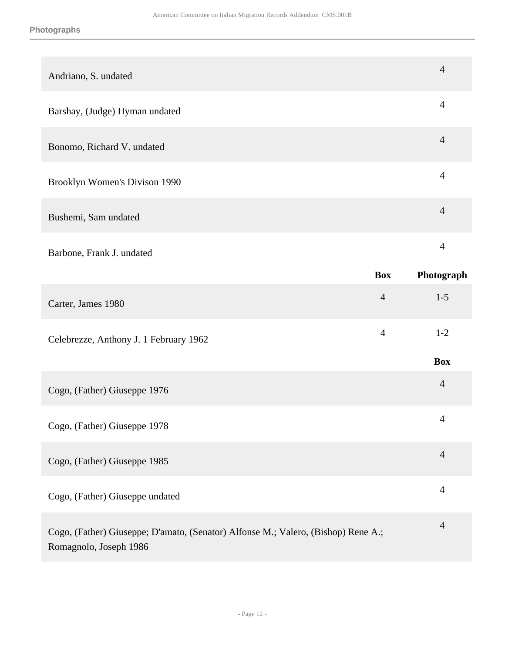| Andriano, S. undated                                                                                        |                | $\overline{4}$ |
|-------------------------------------------------------------------------------------------------------------|----------------|----------------|
| Barshay, (Judge) Hyman undated                                                                              |                | $\overline{4}$ |
| Bonomo, Richard V. undated                                                                                  |                | $\overline{4}$ |
| Brooklyn Women's Divison 1990                                                                               |                | $\overline{4}$ |
| Bushemi, Sam undated                                                                                        |                | $\overline{4}$ |
| Barbone, Frank J. undated                                                                                   |                | $\overline{4}$ |
|                                                                                                             | <b>Box</b>     | Photograph     |
| Carter, James 1980                                                                                          | $\overline{4}$ | $1 - 5$        |
| Celebrezze, Anthony J. 1 February 1962                                                                      | $\overline{4}$ | $1 - 2$        |
|                                                                                                             |                | <b>Box</b>     |
| Cogo, (Father) Giuseppe 1976                                                                                |                | $\overline{4}$ |
| Cogo, (Father) Giuseppe 1978                                                                                |                | $\overline{4}$ |
| Cogo, (Father) Giuseppe 1985                                                                                |                | $\overline{4}$ |
| Cogo, (Father) Giuseppe undated                                                                             |                | $\overline{4}$ |
| Cogo, (Father) Giuseppe; D'amato, (Senator) Alfonse M.; Valero, (Bishop) Rene A.;<br>Romagnolo, Joseph 1986 |                | $\overline{4}$ |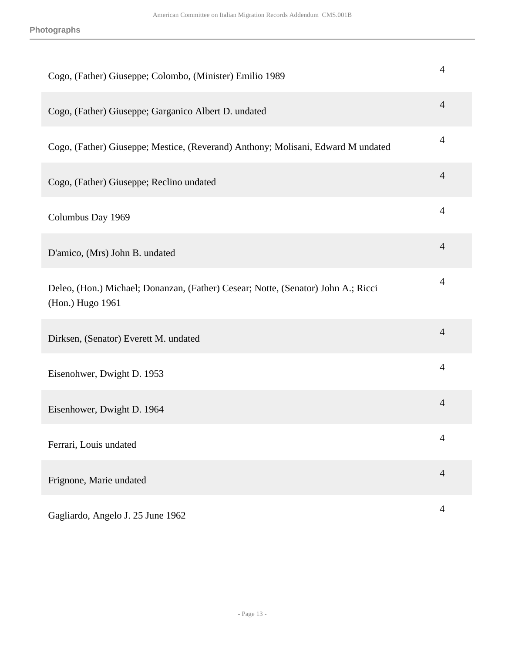| Cogo, (Father) Giuseppe; Colombo, (Minister) Emilio 1989                                              | 4              |
|-------------------------------------------------------------------------------------------------------|----------------|
| Cogo, (Father) Giuseppe; Garganico Albert D. undated                                                  | $\overline{4}$ |
| Cogo, (Father) Giuseppe; Mestice, (Reverand) Anthony; Molisani, Edward M undated                      | 4              |
| Cogo, (Father) Giuseppe; Reclino undated                                                              | $\overline{4}$ |
| Columbus Day 1969                                                                                     | 4              |
| D'amico, (Mrs) John B. undated                                                                        | $\overline{4}$ |
| Deleo, (Hon.) Michael; Donanzan, (Father) Cesear; Notte, (Senator) John A.; Ricci<br>(Hon.) Hugo 1961 | $\overline{4}$ |
| Dirksen, (Senator) Everett M. undated                                                                 | $\overline{4}$ |
| Eisenohwer, Dwight D. 1953                                                                            | 4              |
| Eisenhower, Dwight D. 1964                                                                            | $\overline{4}$ |
| Ferrari, Louis undated                                                                                | 4              |
| Frignone, Marie undated                                                                               | $\overline{4}$ |
| Gagliardo, Angelo J. 25 June 1962                                                                     | $\overline{4}$ |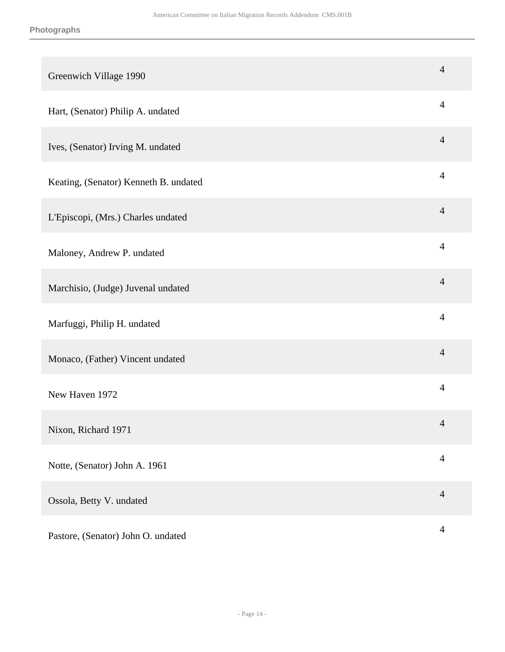| Greenwich Village 1990                | $\overline{4}$ |
|---------------------------------------|----------------|
| Hart, (Senator) Philip A. undated     | $\overline{4}$ |
| Ives, (Senator) Irving M. undated     | $\overline{4}$ |
| Keating, (Senator) Kenneth B. undated | $\overline{4}$ |
| L'Episcopi, (Mrs.) Charles undated    | $\overline{4}$ |
| Maloney, Andrew P. undated            | $\overline{4}$ |
| Marchisio, (Judge) Juvenal undated    | $\overline{4}$ |
| Marfuggi, Philip H. undated           | $\overline{4}$ |
| Monaco, (Father) Vincent undated      | $\overline{4}$ |
| New Haven 1972                        | $\overline{4}$ |
| Nixon, Richard 1971                   | $\overline{4}$ |
| Notte, (Senator) John A. 1961         | $\overline{4}$ |
| Ossola, Betty V. undated              | $\overline{4}$ |
| Pastore, (Senator) John O. undated    | $\overline{4}$ |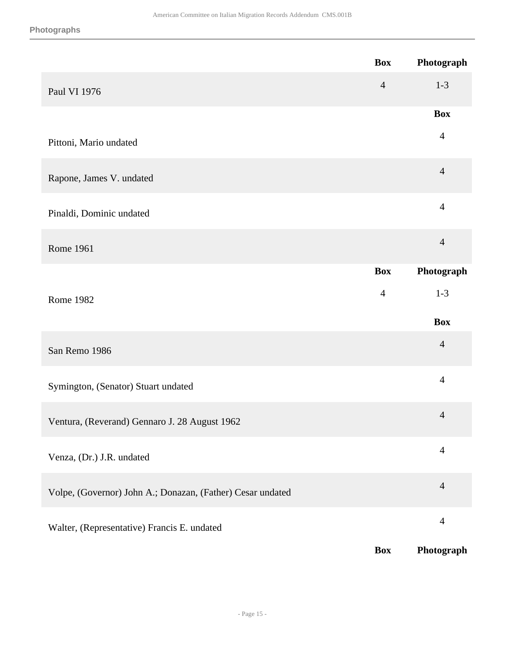|                                                            | <b>Box</b>     | Photograph     |
|------------------------------------------------------------|----------------|----------------|
| Paul VI 1976                                               | $\overline{4}$ | $1-3$          |
|                                                            |                | <b>Box</b>     |
| Pittoni, Mario undated                                     |                | $\overline{4}$ |
| Rapone, James V. undated                                   |                | $\overline{4}$ |
| Pinaldi, Dominic undated                                   |                | $\overline{4}$ |
| Rome 1961                                                  |                | $\overline{4}$ |
|                                                            | <b>Box</b>     | Photograph     |
| Rome 1982                                                  | $\overline{4}$ | $1 - 3$        |
|                                                            |                | <b>Box</b>     |
| San Remo 1986                                              |                | $\overline{4}$ |
| Symington, (Senator) Stuart undated                        |                | $\overline{4}$ |
| Ventura, (Reverand) Gennaro J. 28 August 1962              |                | $\overline{4}$ |
| Venza, (Dr.) J.R. undated                                  |                | $\overline{4}$ |
| Volpe, (Governor) John A.; Donazan, (Father) Cesar undated |                | $\overline{4}$ |
| Walter, (Representative) Francis E. undated                |                | $\overline{4}$ |
|                                                            | <b>Box</b>     | Photograph     |